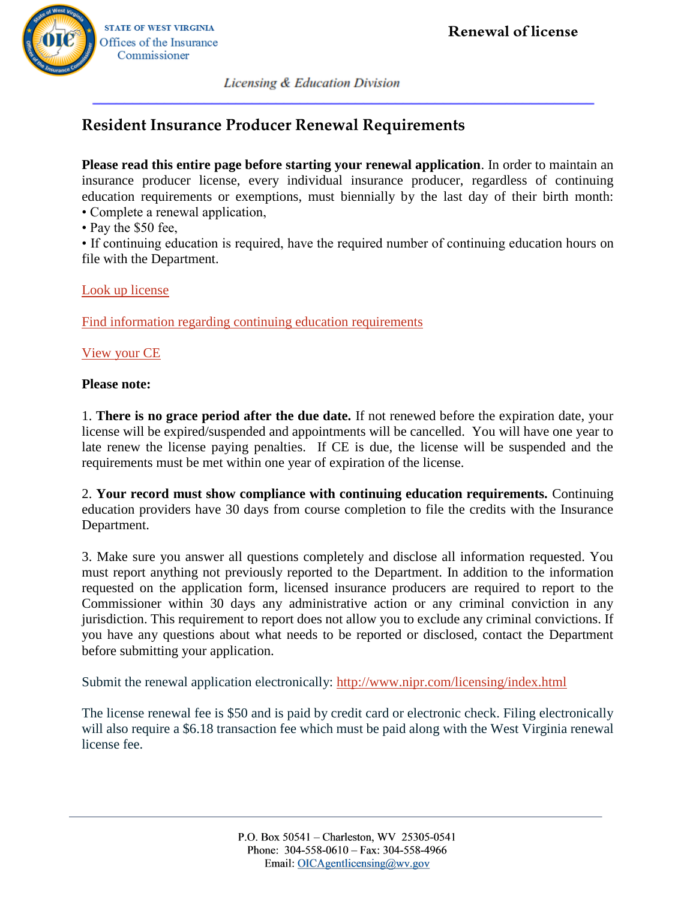

**STATE OF WEST VIRGINIA** Offices of the Insurance Commissioner

**Licensing & Education Division** 

# **Resident Insurance Producer Renewal Requirements**

**Please read this entire page before starting your renewal application**. In order to maintain an insurance producer license, every individual insurance producer, regardless of continuing education requirements or exemptions, must biennially by the last day of their birth month: • Complete a renewal application,

• Pay the \$50 fee,

• If continuing education is required, have the required number of continuing education hours on file with the Department.

# [Look up license](https://sbs.naic.org/solar-external-lookup/license-manager)

[Find information regarding continuing education requirements](https://www.wvinsurance.gov/Portals/0/pdf/webforms-licensing/Producer_CE.pdf?ver=2019-03-21-102227-857) 

# [View your CE](https://www.sircon.com/ComplianceExpress/NonSscrbEducation/index.jsp?nonSscrb=Y&sscrbid=9999)

### **Please note:**

1. **There is no grace period after the due date.** If not renewed before the expiration date, your license will be expired/suspended and appointments will be cancelled. You will have one year to late renew the license paying penalties. If CE is due, the license will be suspended and the requirements must be met within one year of expiration of the license.

2. **Your record must show compliance with continuing education requirements.** Continuing education providers have 30 days from course completion to file the credits with the Insurance Department.

3. Make sure you answer all questions completely and disclose all information requested. You must report anything not previously reported to the Department. In addition to the information requested on the application form, licensed insurance producers are required to report to the Commissioner within 30 days any administrative action or any criminal conviction in any jurisdiction. This requirement to report does not allow you to exclude any criminal convictions. If you have any questions about what needs to be reported or disclosed, contact the Department before submitting your application.

Submit the renewal application electronically:<http://www.nipr.com/licensing/index.html>

The license renewal fee is \$50 and is paid by credit card or electronic check. Filing electronically will also require a \$6.18 transaction fee which must be paid along with the West Virginia renewal license fee.